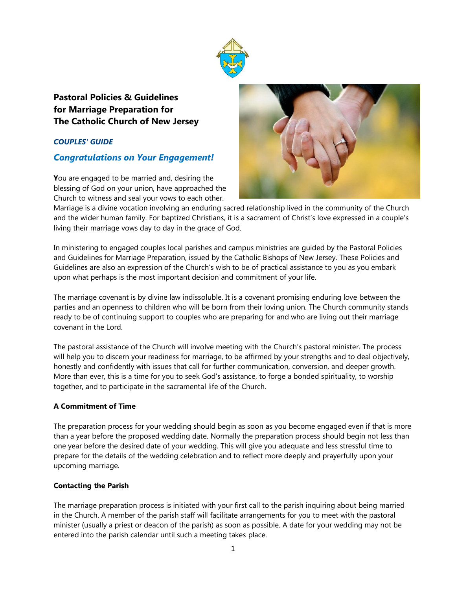

# **Pastoral Policies & Guidelines for Marriage Preparation for The Catholic Church of New Jersey**

## *COUPLES' GUIDE*

## *Congratulations on Your Engagement!*

**Y**ou are engaged to be married and, desiring the blessing of God on your union, have approached the Church to witness and seal your vows to each other.



Marriage is a divine vocation involving an enduring sacred relationship lived in the community of the Church and the wider human family. For baptized Christians, it is a sacrament of Christ's love expressed in a couple's living their marriage vows day to day in the grace of God.

In ministering to engaged couples local parishes and campus ministries are guided by the Pastoral Policies and Guidelines for Marriage Preparation, issued by the Catholic Bishops of New Jersey. These Policies and Guidelines are also an expression of the Church's wish to be of practical assistance to you as you embark upon what perhaps is the most important decision and commitment of your life.

The marriage covenant is by divine law indissoluble. It is a covenant promising enduring love between the parties and an openness to children who will be born from their loving union. The Church community stands ready to be of continuing support to couples who are preparing for and who are living out their marriage covenant in the Lord.

The pastoral assistance of the Church will involve meeting with the Church's pastoral minister. The process will help you to discern your readiness for marriage, to be affirmed by your strengths and to deal objectively, honestly and confidently with issues that call for further communication, conversion, and deeper growth. More than ever, this is a time for you to seek God's assistance, to forge a bonded spirituality, to worship together, and to participate in the sacramental life of the Church.

## **A Commitment of Time**

The preparation process for your wedding should begin as soon as you become engaged even if that is more than a year before the proposed wedding date. Normally the preparation process should begin not less than one year before the desired date of your wedding. This will give you adequate and less stressful time to prepare for the details of the wedding celebration and to reflect more deeply and prayerfully upon your upcoming marriage.

### **Contacting the Parish**

The marriage preparation process is initiated with your first call to the parish inquiring about being married in the Church. A member of the parish staff will facilitate arrangements for you to meet with the pastoral minister (usually a priest or deacon of the parish) as soon as possible. A date for your wedding may not be entered into the parish calendar until such a meeting takes place.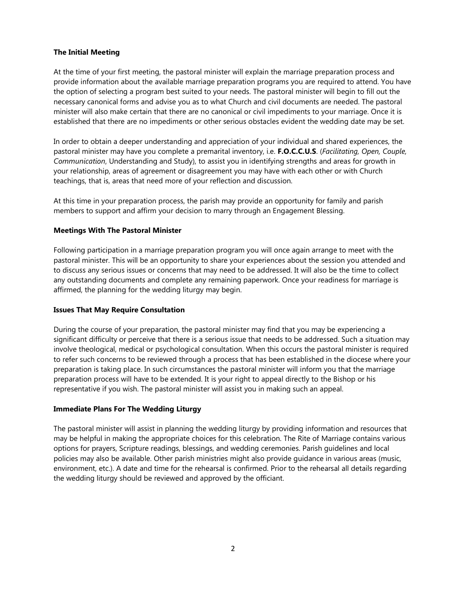### **The Initial Meeting**

At the time of your first meeting, the pastoral minister will explain the marriage preparation process and provide information about the available marriage preparation programs you are required to attend. You have the option of selecting a program best suited to your needs. The pastoral minister will begin to fill out the necessary canonical forms and advise you as to what Church and civil documents are needed. The pastoral minister will also make certain that there are no canonical or civil impediments to your marriage. Once it is established that there are no impediments or other serious obstacles evident the wedding date may be set.

In order to obtain a deeper understanding and appreciation of your individual and shared experiences, the pastoral minister may have you complete a premarital inventory, i.e. **F.O.C.C.U.S**. (*Facilitating, Open, Couple, Communication*, Understanding and Study), to assist you in identifying strengths and areas for growth in your relationship, areas of agreement or disagreement you may have with each other or with Church teachings, that is, areas that need more of your reflection and discussion.

At this time in your preparation process, the parish may provide an opportunity for family and parish members to support and affirm your decision to marry through an Engagement Blessing.

### **Meetings With The Pastoral Minister**

Following participation in a marriage preparation program you will once again arrange to meet with the pastoral minister. This will be an opportunity to share your experiences about the session you attended and to discuss any serious issues or concerns that may need to be addressed. It will also be the time to collect any outstanding documents and complete any remaining paperwork. Once your readiness for marriage is affirmed, the planning for the wedding liturgy may begin.

#### **Issues That May Require Consultation**

During the course of your preparation, the pastoral minister may find that you may be experiencing a significant difficulty or perceive that there is a serious issue that needs to be addressed. Such a situation may involve theological, medical or psychological consultation. When this occurs the pastoral minister is required to refer such concerns to be reviewed through a process that has been established in the diocese where your preparation is taking place. In such circumstances the pastoral minister will inform you that the marriage preparation process will have to be extended. It is your right to appeal directly to the Bishop or his representative if you wish. The pastoral minister will assist you in making such an appeal.

#### **Immediate Plans For The Wedding Liturgy**

The pastoral minister will assist in planning the wedding liturgy by providing information and resources that may be helpful in making the appropriate choices for this celebration. The Rite of Marriage contains various options for prayers, Scripture readings, blessings, and wedding ceremonies. Parish guidelines and local policies may also be available. Other parish ministries might also provide guidance in various areas (music, environment, etc.). A date and time for the rehearsal is confirmed. Prior to the rehearsal all details regarding the wedding liturgy should be reviewed and approved by the officiant.